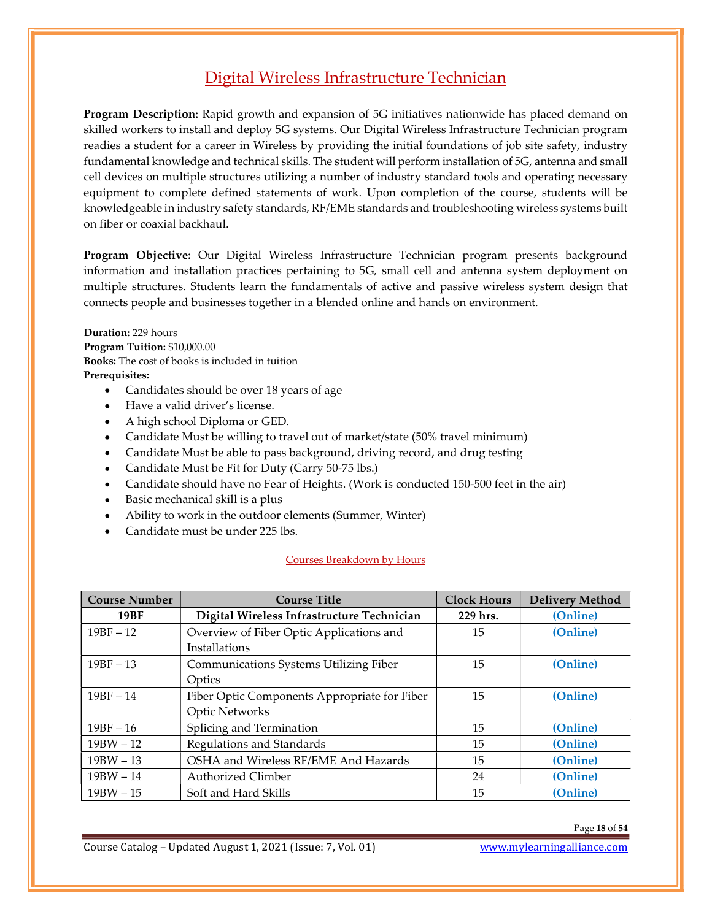## Digital Wireless Infrastructure Technician

Program Description: Rapid growth and expansion of 5G initiatives nationwide has placed demand on skilled workers to install and deploy 5G systems. Our Digital Wireless Infrastructure Technician program readies a student for a career in Wireless by providing the initial foundations of job site safety, industry fundamental knowledge and technical skills. The student will perform installation of 5G, antenna and small cell devices on multiple structures utilizing a number of industry standard tools and operating necessary equipment to complete defined statements of work. Upon completion of the course, students will be knowledgeable in industry safety standards, RF/EME standards and troubleshooting wireless systems built on fiber or coaxial backhaul.

Program Objective: Our Digital Wireless Infrastructure Technician program presents background information and installation practices pertaining to 5G, small cell and antenna system deployment on multiple structures. Students learn the fundamentals of active and passive wireless system design that connects people and businesses together in a blended online and hands on environment.

- **Prerequisites:**<br>• Candidates should be over 18 years of age
	- Have a valid driver's license.
	- A high school Diploma or GED.
	- Candidate Must be willing to travel out of market/state (50% travel minimum)
	- Candidate Must be able to pass background, driving record, and drug testing
	- Candidate Must be Fit for Duty (Carry 50-75 lbs.)
	- Candidate should have no Fear of Heights. (Work is conducted 150-500 feet in the air)
	- Basic mechanical skill is a plus
	- Ability to work in the outdoor elements (Summer, Winter)
	- Candidate must be under 225 lbs.

## Courses Breakdown by Hours

| Duration: 229 hours                                         |                                                                                                                                                                                                                                                                                                                                                                                                                                                                                                                                                                                                                                                       |                    |                        |
|-------------------------------------------------------------|-------------------------------------------------------------------------------------------------------------------------------------------------------------------------------------------------------------------------------------------------------------------------------------------------------------------------------------------------------------------------------------------------------------------------------------------------------------------------------------------------------------------------------------------------------------------------------------------------------------------------------------------------------|--------------------|------------------------|
| Program Tuition: \$10,000.00<br>Prerequisites:<br>$\bullet$ | Books: The cost of books is included in tuition<br>Candidates should be over 18 years of age<br>Have a valid driver's license.<br>A high school Diploma or GED.<br>Candidate Must be willing to travel out of market/state (50% travel minimum)<br>Candidate Must be able to pass background, driving record, and drug testing<br>Candidate Must be Fit for Duty (Carry 50-75 lbs.)<br>Candidate should have no Fear of Heights. (Work is conducted 150-500 feet in the air)<br>Basic mechanical skill is a plus<br>Ability to work in the outdoor elements (Summer, Winter)<br>Candidate must be under 225 lbs.<br><b>Courses Breakdown by Hours</b> |                    |                        |
| <b>Course Number</b>                                        | <b>Course Title</b>                                                                                                                                                                                                                                                                                                                                                                                                                                                                                                                                                                                                                                   | <b>Clock Hours</b> | <b>Delivery Method</b> |
| <b>19BF</b>                                                 | Digital Wireless Infrastructure Technician                                                                                                                                                                                                                                                                                                                                                                                                                                                                                                                                                                                                            | 229 hrs.           | (Online)               |
| $19BF - 12$                                                 | Overview of Fiber Optic Applications and<br>Installations                                                                                                                                                                                                                                                                                                                                                                                                                                                                                                                                                                                             | 15                 | (Online)               |
| $19BF - 13$                                                 | Communications Systems Utilizing Fiber<br>Optics                                                                                                                                                                                                                                                                                                                                                                                                                                                                                                                                                                                                      | 15                 | (Online)               |
| $19BF - 14$                                                 | Fiber Optic Components Appropriate for Fiber<br><b>Optic Networks</b>                                                                                                                                                                                                                                                                                                                                                                                                                                                                                                                                                                                 | 15                 | (Online)               |
|                                                             | Splicing and Termination                                                                                                                                                                                                                                                                                                                                                                                                                                                                                                                                                                                                                              | 15                 | (Online)               |
| $19BF - 16$                                                 |                                                                                                                                                                                                                                                                                                                                                                                                                                                                                                                                                                                                                                                       |                    | (Online)               |
| $19BW - 12$                                                 | Regulations and Standards                                                                                                                                                                                                                                                                                                                                                                                                                                                                                                                                                                                                                             | 15                 |                        |
| $19BW - 13$                                                 | OSHA and Wireless RF/EME And Hazards                                                                                                                                                                                                                                                                                                                                                                                                                                                                                                                                                                                                                  | 15                 | (Online)               |
| $19BW - 14$                                                 | <b>Authorized Climber</b>                                                                                                                                                                                                                                                                                                                                                                                                                                                                                                                                                                                                                             | 24                 | (Online)               |